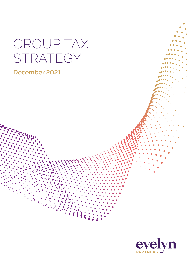# GROUP TAX STRATEGY

### **December 2021**

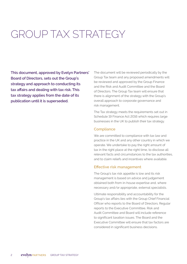## GROUP TAX STRATEGY

**This document, approved by Evelyn Partners' Board of Directors, sets out the Group's strategy and approach to conducting its tax affairs and dealing with tax risk. This tax strategy applies from the date of its publication until it is superseded.**

The document will be reviewed periodically by the Group Tax team and any proposed amendments will be reviewed and approved by the Group Finance and the Risk and Audit Committee and the Board of Directors. The Group Tax team will ensure that there is alignment of the strategy with the Group's overall approach to corporate governance and risk management.

The Tax strategy meets the requirements set out in Schedule 19 Finance Act 2016 which requires large businesses in the UK to publish their tax strategy.

#### **Compliance**

We are committed to compliance with tax law and practice in the UK and any other country in which we operate. We undertake to pay the right amount of tax in the right place at the right time, to disclose all relevant facts and circumstances to the tax authorities, and to claim reliefs and incentives where available.

#### **Effective risk management**

The Group's tax risk appetite is low and its risk management is based on advice and judgement obtained both from in-house expertise and, where necessary and/or appropriate, external specialists.

Ultimate responsibility and accountability for the Group's tax affairs lies with the Group Chief Financial Officer who reports to the Board of Directors. Regular reports to the Executive Committee, Risk and Audit Committee and Board will include reference to significant taxation issues. The Board and the Executive Committee will ensure that tax factors are considered in significant business decisions.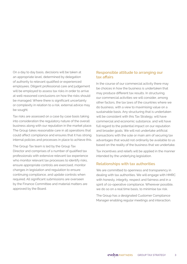On a day to day basis, decisions will be taken at an appropriate level, determined by delegation of authority to relevant qualified or experienced employees. Diligent professional care and judgement will be employed to assess tax risks in order to arrive at well-reasoned conclusions on how the risks should be managed. Where there is significant uncertainty or complexity in relation to a risk, external advice may be sought.

Tax risks are assessed on a case by case basis taking into consideration the regulatory nature of the overall business along with our reputation in the market place. The Group takes reasonable care in all operations that could affect compliance and ensures that it has strong internal policies and processes in place to achieve this.

The Group Tax team is led by the Group Tax Director and comprises of a number of qualified tax professionals with extensive relevant tax experience who monitor relevant tax processes to identify risks, ensure appropriate controls are exercised, monitor changes in legislation and regulation to ensure continuing compliance, and update controls when required. All significant submissions are overseen by the Finance Committee and material matters are approved by the Board.

#### **Responsible attitude to arranging our tax affairs**

In the course of our commercial activity there may be choices in how the business is undertaken that may produce different tax results. In structuring our commercial activities we will consider, among other factors, the tax laws of the countries where we do business, with a view to maximising value on a sustainable basis. Any structuring that is undertaken will be consistent with this Tax Strategy, will have commercial and economic substance, and will have full regard to the potential impact on our reputation and broader goals. We will not undertake artificial transactions with the sole or main aim of securing tax advantages that would not ordinarily be available to us based on the reality of the business that we undertake.

Tax incentives and reliefs will be applied in the manner intended by the underlying legislation.

#### **Relationships with tax authorities**

We are committed to openness and transparency in dealing with tax authorities. We will engage with HMRC with honesty, integrity, respect and fairness and in a spirit of co-operative compliance. Wherever possible, we do so on a real time basis, to minimise tax risk.

The Group has a designated Customer Compliance Manager enabling regular meetings and interaction.